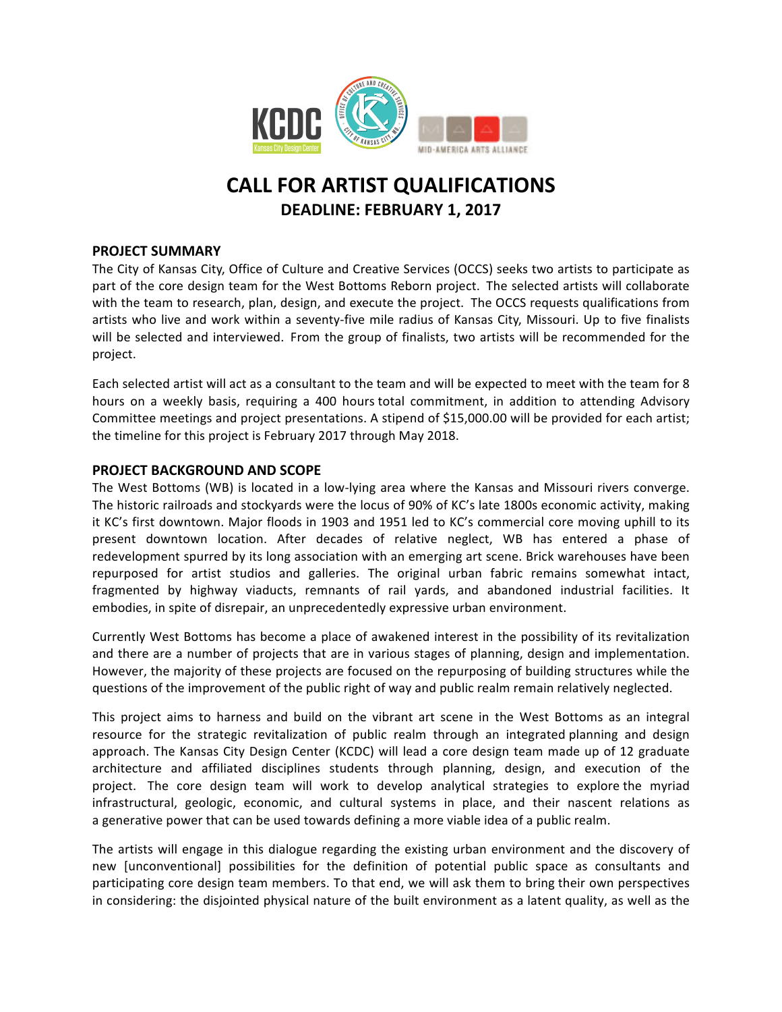

# **CALL FOR ARTIST QUALIFICATIONS DEADLINE: FEBRUARY 1, 2017**

## **PROJECT SUMMARY**

The City of Kansas City, Office of Culture and Creative Services (OCCS) seeks two artists to participate as part of the core design team for the West Bottoms Reborn project. The selected artists will collaborate with the team to research, plan, design, and execute the project. The OCCS requests qualifications from artists who live and work within a seventy-five mile radius of Kansas City, Missouri. Up to five finalists will be selected and interviewed. From the group of finalists, two artists will be recommended for the project.

Each selected artist will act as a consultant to the team and will be expected to meet with the team for 8 hours on a weekly basis, requiring a 400 hours total commitment, in addition to attending Advisory Committee meetings and project presentations. A stipend of \$15,000.00 will be provided for each artist; the timeline for this project is February 2017 through May 2018.

## **PROJECT BACKGROUND AND SCOPE**

The West Bottoms (WB) is located in a low-lying area where the Kansas and Missouri rivers converge. The historic railroads and stockyards were the locus of 90% of KC's late 1800s economic activity, making it KC's first downtown. Major floods in 1903 and 1951 led to KC's commercial core moving uphill to its present downtown location. After decades of relative neglect, WB has entered a phase of redevelopment spurred by its long association with an emerging art scene. Brick warehouses have been repurposed for artist studios and galleries. The original urban fabric remains somewhat intact, fragmented by highway viaducts, remnants of rail yards, and abandoned industrial facilities. It embodies, in spite of disrepair, an unprecedentedly expressive urban environment.

Currently West Bottoms has become a place of awakened interest in the possibility of its revitalization and there are a number of projects that are in various stages of planning, design and implementation. However, the majority of these projects are focused on the repurposing of building structures while the questions of the improvement of the public right of way and public realm remain relatively neglected.

This project aims to harness and build on the vibrant art scene in the West Bottoms as an integral resource for the strategic revitalization of public realm through an integrated planning and design approach. The Kansas City Design Center (KCDC) will lead a core design team made up of 12 graduate architecture and affiliated disciplines students through planning, design, and execution of the project. The core design team will work to develop analytical strategies to explore the myriad infrastructural, geologic, economic, and cultural systems in place, and their nascent relations as a generative power that can be used towards defining a more viable idea of a public realm.

The artists will engage in this dialogue regarding the existing urban environment and the discovery of new [unconventional] possibilities for the definition of potential public space as consultants and participating core design team members. To that end, we will ask them to bring their own perspectives in considering: the disjointed physical nature of the built environment as a latent quality, as well as the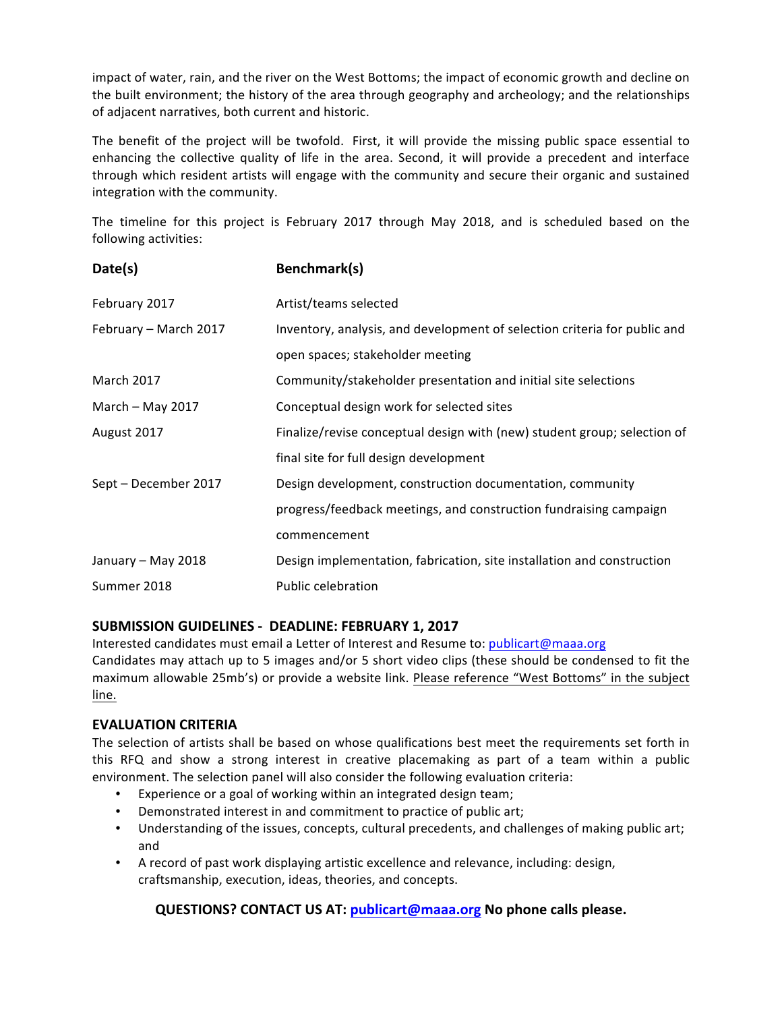impact of water, rain, and the river on the West Bottoms; the impact of economic growth and decline on the built environment; the history of the area through geography and archeology; and the relationships of adjacent narratives, both current and historic.

The benefit of the project will be twofold. First, it will provide the missing public space essential to enhancing the collective quality of life in the area. Second, it will provide a precedent and interface through which resident artists will engage with the community and secure their organic and sustained integration with the community.

The timeline for this project is February 2017 through May 2018, and is scheduled based on the following activities:

| Date(s)               | Benchmark(s)                                                              |
|-----------------------|---------------------------------------------------------------------------|
| February 2017         | Artist/teams selected                                                     |
| February - March 2017 | Inventory, analysis, and development of selection criteria for public and |
|                       | open spaces; stakeholder meeting                                          |
| <b>March 2017</b>     | Community/stakeholder presentation and initial site selections            |
| March - May 2017      | Conceptual design work for selected sites                                 |
| August 2017           | Finalize/revise conceptual design with (new) student group; selection of  |
|                       | final site for full design development                                    |
| Sept - December 2017  | Design development, construction documentation, community                 |
|                       | progress/feedback meetings, and construction fundraising campaign         |
|                       | commencement                                                              |
| January - May 2018    | Design implementation, fabrication, site installation and construction    |
| Summer 2018           | Public celebration                                                        |

## **SUBMISSION GUIDELINES - DEADLINE: FEBRUARY 1, 2017**

Interested candidates must email a Letter of Interest and Resume to: publicart@maaa.org Candidates may attach up to 5 images and/or 5 short video clips (these should be condensed to fit the maximum allowable 25mb's) or provide a website link. Please reference "West Bottoms" in the subject line.

## **EVALUATION CRITERIA**

The selection of artists shall be based on whose qualifications best meet the requirements set forth in this RFQ and show a strong interest in creative placemaking as part of a team within a public environment. The selection panel will also consider the following evaluation criteria:

- Experience or a goal of working within an integrated design team;
- Demonstrated interest in and commitment to practice of public art;
- Understanding of the issues, concepts, cultural precedents, and challenges of making public art; and
- A record of past work displaying artistic excellence and relevance, including: design, craftsmanship, execution, ideas, theories, and concepts.

## **QUESTIONS? CONTACT US AT: publicart@maaa.org** No phone calls please.